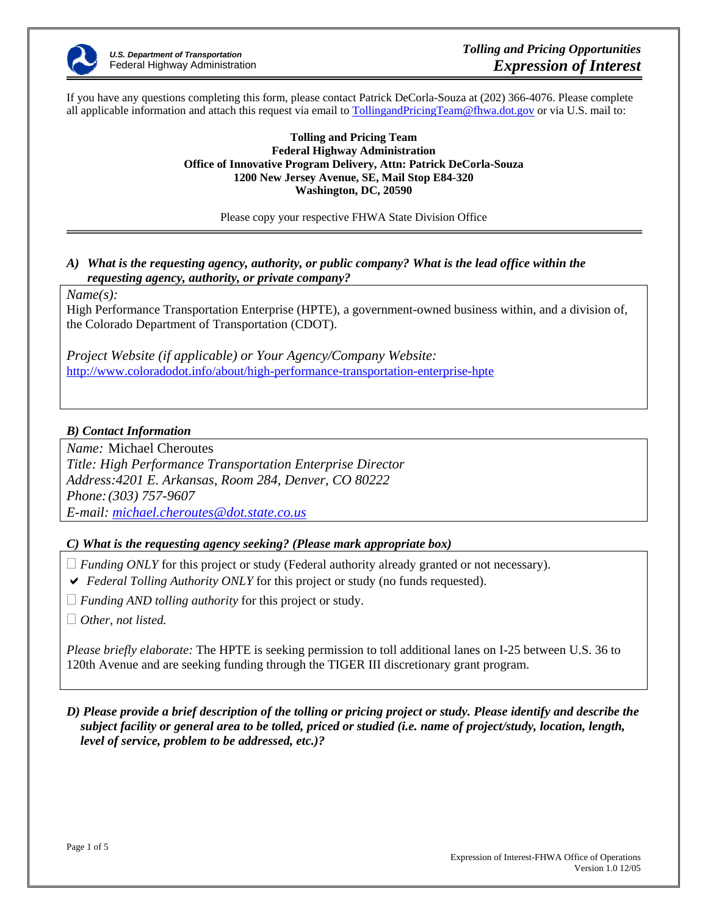

If you have any questions completing this form, please contact Patrick DeCorla-Souza at (202) 366-4076. Please complete all applicable information and attach this request via email to TollingandPricingTeam@fhwa.dot.gov or via U.S. mail to:

#### **Tolling and Pricing Team Federal Highway Administration Office of Innovative Program Delivery, Attn: Patrick DeCorla-Souza 1200 New Jersey Avenue, SE, Mail Stop E84-320 Washington, DC, 20590**

Please copy your respective FHWA State Division Office

## *A) What is the requesting agency, authority, or public company? What is the lead office within the requesting agency, authority, or private company?*

*Name(s):* 

High Performance Transportation Enterprise (HPTE), a government-owned business within, and a division of, the Colorado Department of Transportation (CDOT).

*Project Website (if applicable) or Your Agency/Company Website:* http://www.coloradodot.info/about/high-performance-transportation-enterprise-hpte

# *B) Contact Information*

*Name:* Michael Cheroutes *Title: High Performance Transportation Enterprise Director Address:4201 E. Arkansas, Room 284, Denver, CO 80222 Phone: (303) 757-9607 E-mail: michael.cheroutes@dot.state.co.us*

## *C) What is the requesting agency seeking? (Please mark appropriate box)*

 $\Box$  *Funding ONLY* for this project or study (Federal authority already granted or not necessary).

- ◆ *Federal Tolling Authority ONLY* for this project or study (no funds requested).
- *Funding AND tolling authority* for this project or study.

*Other, not listed.* 

*Please briefly elaborate:* The HPTE is seeking permission to toll additional lanes on I-25 between U.S. 36 to 120th Avenue and are seeking funding through the TIGER III discretionary grant program.

### *D) Please provide a brief description of the tolling or pricing project or study. Please identify and describe the subject facility or general area to be tolled, priced or studied (i.e. name of project/study, location, length, level of service, problem to be addressed, etc.)?*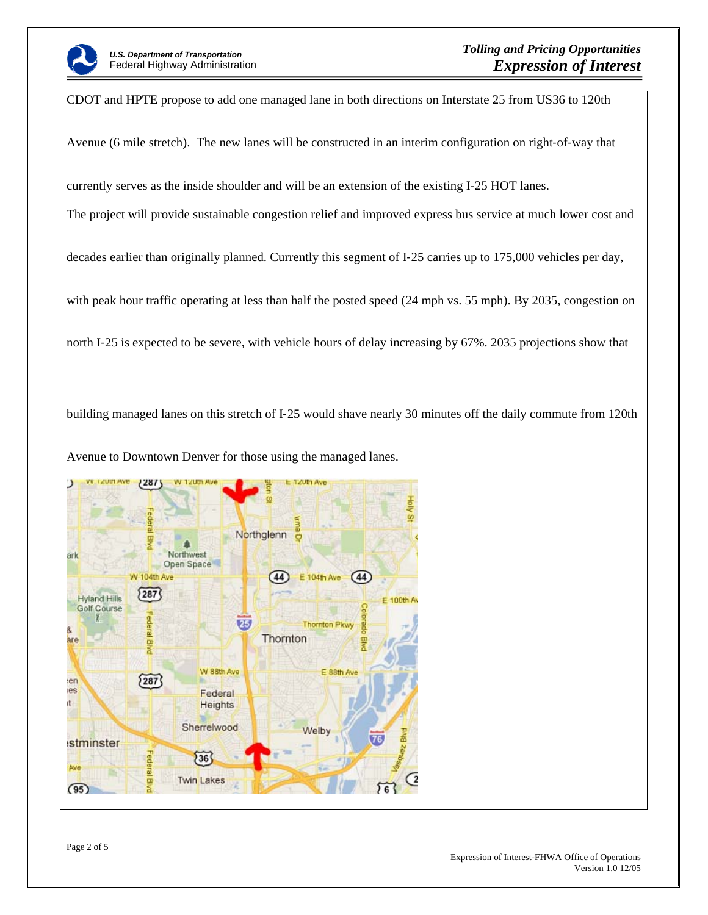

CDOT and HPTE propose to add one managed lane in both directions on Interstate 25 from US36 to 120th Avenue (6 mile stretch). The new lanes will be constructed in an interim configuration on right‐of‐way that currently serves as the inside shoulder and will be an extension of the existing I-25 HOT lanes. The project will provide sustainable congestion relief and improved express bus service at much lower cost and decades earlier than originally planned. Currently this segment of I‐25 carries up to 175,000 vehicles per day, with peak hour traffic operating at less than half the posted speed (24 mph vs. 55 mph). By 2035, congestion on north I‐25 is expected to be severe, with vehicle hours of delay increasing by 67%. 2035 projections show that

building managed lanes on this stretch of I‐25 would shave nearly 30 minutes off the daily commute from 120th

Avenue to Downtown Denver for those using the managed lanes.

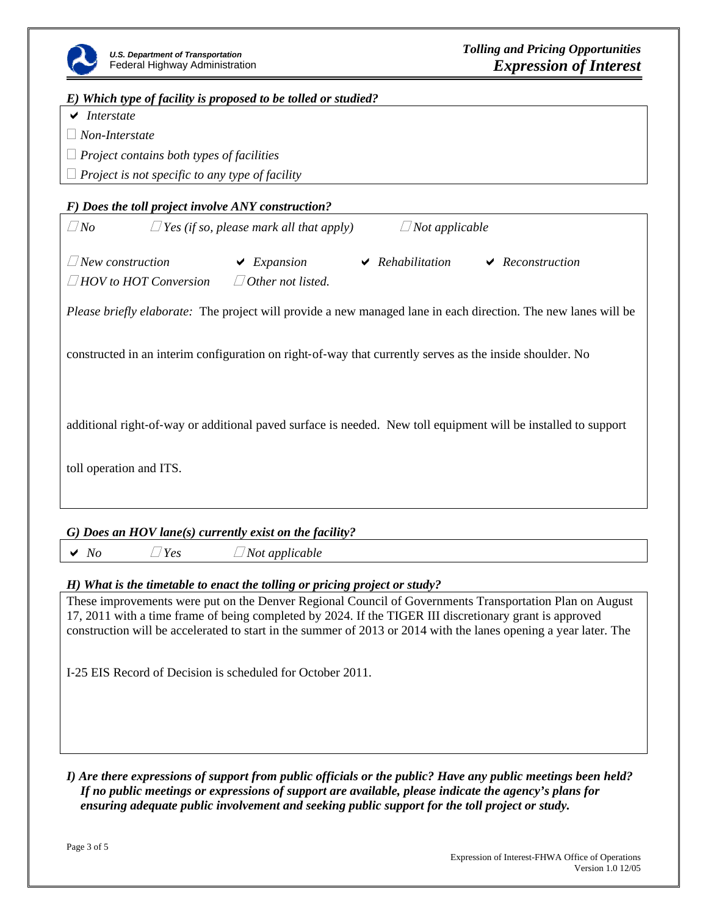

### *E) Which type of facility is proposed to be tolled or studied?*

 $\vee$  *Interstate* 

*Non-Interstate*

*Project contains both types of facilities* 

*Project is not specific to any type of facility*

## *F) Does the toll project involve ANY construction?*

| $\Box$ No                    | $\Box$ Yes (if so, please mark all that apply) |                          | $\Box$ Not applicable |  |                       |
|------------------------------|------------------------------------------------|--------------------------|-----------------------|--|-----------------------|
| $\Box$ New construction      |                                                | $\vee$ Expansion         | $\vee$ Rehabilitation |  | $\vee$ Reconstruction |
| $\Box$ HOV to HOT Conversion |                                                | $\Box$ Other not listed. |                       |  |                       |

*Please briefly elaborate:* The project will provide a new managed lane in each direction. The new lanes will be

constructed in an interim configuration on right‐of‐way that currently serves as the inside shoulder. No

additional right‐of‐way or additional paved surface is needed. New toll equipment will be installed to support

toll operation and ITS.

#### *G) Does an HOV lane(s) currently exist on the facility?*

◆ *No △ Yes △ Not applicable* 

#### *H) What is the timetable to enact the tolling or pricing project or study?*

These improvements were put on the Denver Regional Council of Governments Transportation Plan on August 17, 2011 with a time frame of being completed by 2024. If the TIGER III discretionary grant is approved construction will be accelerated to start in the summer of 2013 or 2014 with the lanes opening a year later. The

I‐25 EIS Record of Decision is scheduled for October 2011.

#### *I) Are there expressions of support from public officials or the public? Have any public meetings been held? If no public meetings or expressions of support are available, please indicate the agency's plans for ensuring adequate public involvement and seeking public support for the toll project or study.*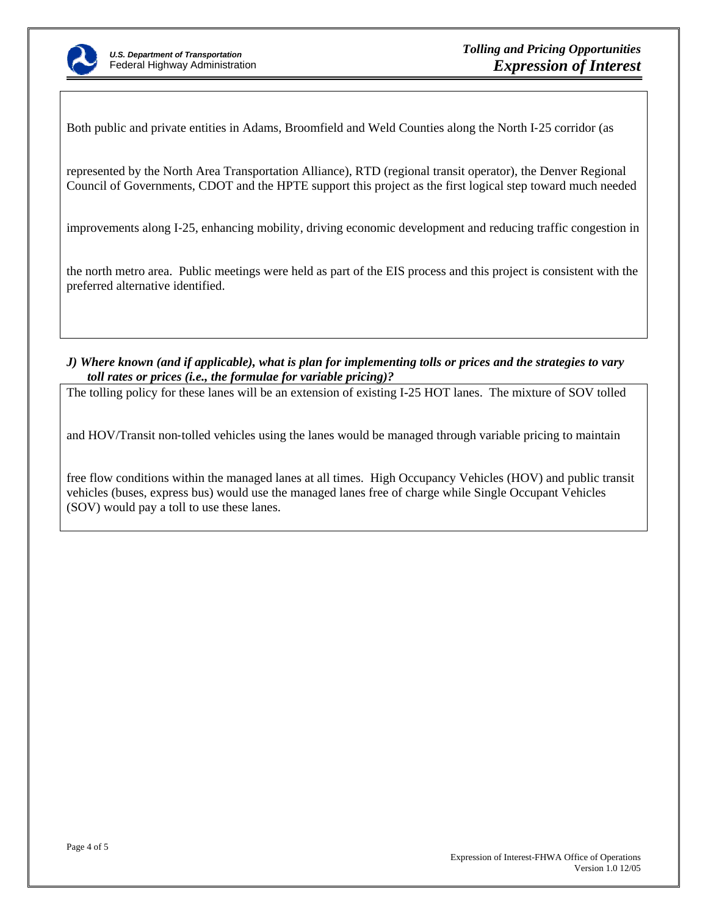

Both public and private entities in Adams, Broomfield and Weld Counties along the North I‐25 corridor (as

represented by the North Area Transportation Alliance), RTD (regional transit operator), the Denver Regional Council of Governments, CDOT and the HPTE support this project as the first logical step toward much needed

improvements along I‐25, enhancing mobility, driving economic development and reducing traffic congestion in

the north metro area. Public meetings were held as part of the EIS process and this project is consistent with the preferred alternative identified.

*J) Where known (and if applicable), what is plan for implementing tolls or prices and the strategies to vary toll rates or prices (i.e., the formulae for variable pricing)?* 

The tolling policy for these lanes will be an extension of existing I-25 HOT lanes. The mixture of SOV tolled

and HOV/Transit non-tolled vehicles using the lanes would be managed through variable pricing to maintain

free flow conditions within the managed lanes at all times. High Occupancy Vehicles (HOV) and public transit vehicles (buses, express bus) would use the managed lanes free of charge while Single Occupant Vehicles (SOV) would pay a toll to use these lanes.